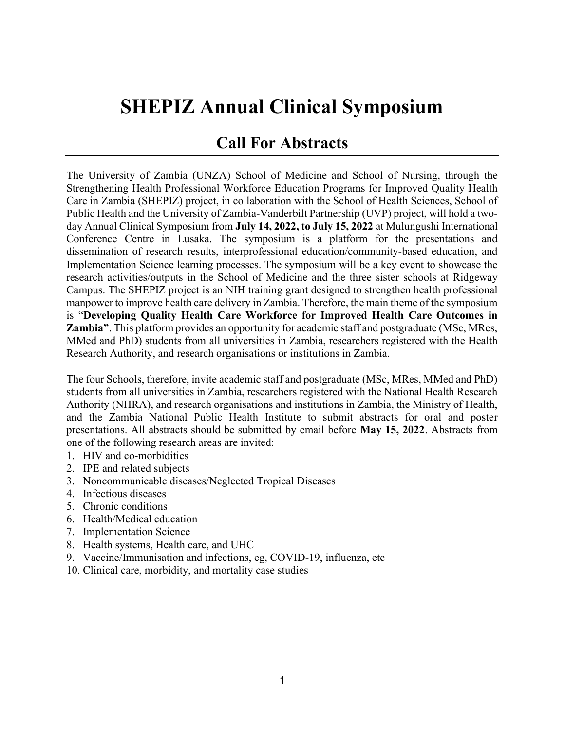## SHEPIZ Annual Clinical Symposium

## Call For Abstracts

The University of Zambia (UNZA) School of Medicine and School of Nursing, through the Strengthening Health Professional Workforce Education Programs for Improved Quality Health Care in Zambia (SHEPIZ) project, in collaboration with the School of Health Sciences, School of Public Health and the University of Zambia-Vanderbilt Partnership (UVP) project, will hold a twoday Annual Clinical Symposium from **July 14, 2022, to July 15, 2022** at Mulungushi International Conference Centre in Lusaka. The symposium is a platform for the presentations and dissemination of research results, interprofessional education/community-based education, and Implementation Science learning processes. The symposium will be a key event to showcase the research activities/outputs in the School of Medicine and the three sister schools at Ridgeway Campus. The SHEPIZ project is an NIH training grant designed to strengthen health professional manpower to improve health care delivery in Zambia. Therefore, the main theme of the symposium is "Developing Quality Health Care Workforce for Improved Health Care Outcomes in Zambia". This platform provides an opportunity for academic staff and postgraduate (MSc, MRes, MMed and PhD) students from all universities in Zambia, researchers registered with the Health Research Authority, and research organisations or institutions in Zambia.

The four Schools, therefore, invite academic staff and postgraduate (MSc, MRes, MMed and PhD) students from all universities in Zambia, researchers registered with the National Health Research Authority (NHRA), and research organisations and institutions in Zambia, the Ministry of Health, and the Zambia National Public Health Institute to submit abstracts for oral and poster presentations. All abstracts should be submitted by email before May 15, 2022. Abstracts from one of the following research areas are invited:

- 1. HIV and co-morbidities
- 2. IPE and related subjects
- 3. Noncommunicable diseases/Neglected Tropical Diseases
- 4. Infectious diseases
- 5. Chronic conditions
- 6. Health/Medical education
- 7. Implementation Science
- 8. Health systems, Health care, and UHC
- 9. Vaccine/Immunisation and infections, eg, COVID-19, influenza, etc
- 10. Clinical care, morbidity, and mortality case studies